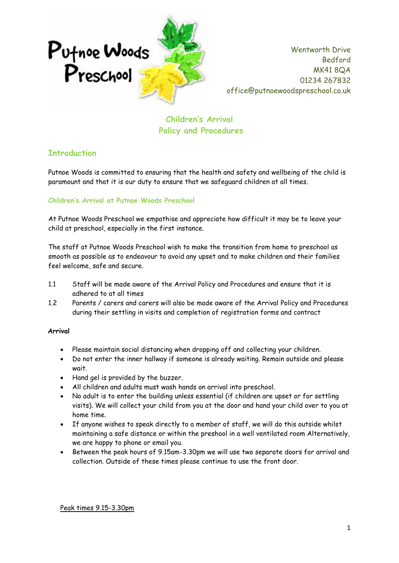

**Children's Arrival Policy and Procedures**

### **Introduction**

Putnoe Woods is committed to ensuring that the health and safety and wellbeing of the child is paramount and that it is our duty to ensure that we safeguard children at all times.

#### **Children's Arrival at Putnoe Woods Preschool**

At Putnoe Woods Preschool we empathise and appreciate how difficult it may be to leave your child at preschool, especially in the first instance.

The staff at Putnoe Woods Preschool wish to make the transition from home to preschool as smooth as possible as to endeavour to avoid any upset and to make children and their families feel welcome, safe and secure.

- 1.1 Staff will be made aware of the Arrival Policy and Procedures and ensure that it is adhered to at all times
- 1.2 Parents / carers and carers will also be made aware of the Arrival Policy and Procedures during their settling in visits and completion of registration forms and contract

#### **Arrival**

- Please maintain social distancing when dropping off and collecting your children.
- Do not enter the inner hallway if someone is already waiting. Remain outside and please wait.
- Hand gel is provided by the buzzer.
- All children and adults must wash hands on arrival into preschool.
- No adult is to enter the building unless essential (if children are upset or for settling visits). We will collect your child from you at the door and hand your child over to you at home time.
- If anyone wishes to speak directly to a member of staff, we will do this outside whilst maintaining a safe distance or within the preshool in a well ventilated room Alternatively, we are happy to phone or email you.
- Between the peak hours of 9.15am-3.30pm we will use two separate doors for arrival and collection. Outside of these times please continue to use the front door.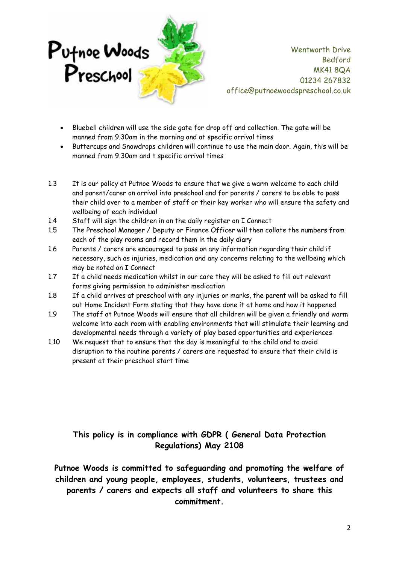

- Bluebell children will use the side gate for drop off and collection. The gate will be manned from 9.30am in the morning and at specific arrival times
- Buttercups and Snowdrops children will continue to use the main door. Again, this will be manned from 9.30am and t specific arrival times
- 1.3 It is our policy at Putnoe Woods to ensure that we give a warm welcome to each child and parent/carer on arrival into preschool and for parents / carers to be able to pass their child over to a member of staff or their key worker who will ensure the safety and wellbeing of each individual
- 1.4 Staff will sign the children in on the daily register on I Connect
- 1.5 The Preschool Manager / Deputy or Finance Officer will then collate the numbers from each of the play rooms and record them in the daily diary
- 1.6 Parents / carers are encouraged to pass on any information regarding their child if necessary, such as injuries, medication and any concerns relating to the wellbeing which may be noted on I Connect
- 1.7 If a child needs medication whilst in our care they will be asked to fill out relevant forms giving permission to administer medication
- 1.8 If a child arrives at preschool with any injuries or marks, the parent will be asked to fill out Home Incident Form stating that they have done it at home and how it happened
- 1.9 The staff at Putnoe Woods will ensure that all children will be given a friendly and warm welcome into each room with enabling environments that will stimulate their learning and developmental needs through a variety of play based opportunities and experiences
- 1.10 We request that to ensure that the day is meaningful to the child and to avoid disruption to the routine parents / carers are requested to ensure that their child is present at their preschool start time

## **This policy is in compliance with GDPR ( General Data Protection Regulations) May 2108**

**Putnoe Woods is committed to safeguarding and promoting the welfare of children and young people, employees, students, volunteers, trustees and parents / carers and expects all staff and volunteers to share this commitment.**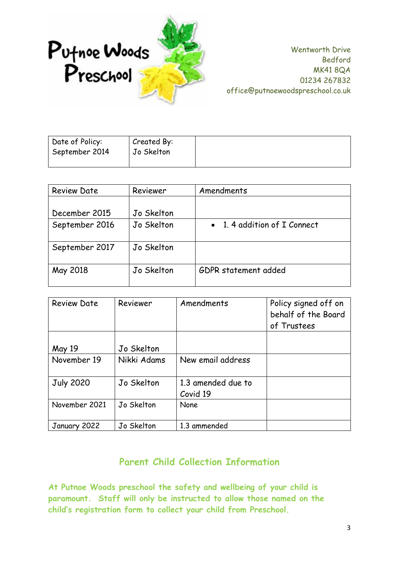

| Date of Policy: | Created By: |
|-----------------|-------------|
| September 2014  | Jo Skelton  |
|                 |             |

| <b>Review Date</b> | Reviewer   | Amendments                  |  |
|--------------------|------------|-----------------------------|--|
| December 2015      | Jo Skelton |                             |  |
| September 2016     | Jo Skelton | • 1.4 addition of I Connect |  |
| September 2017     | Jo Skelton |                             |  |
| May 2018           | Jo Skelton | GDPR statement added        |  |

| <b>Review Date</b> | Reviewer    | Amendments                     | Policy signed off on<br>behalf of the Board<br>of Trustees |
|--------------------|-------------|--------------------------------|------------------------------------------------------------|
| May 19             | Jo Skelton  |                                |                                                            |
| November 19        | Nikki Adams | New email address              |                                                            |
| <b>July 2020</b>   | Jo Skelton  | 1.3 amended due to<br>Covid 19 |                                                            |
| November 2021      | Jo Skelton  | <b>None</b>                    |                                                            |
| January 2022       | Jo Skelton  | 1.3 ammended                   |                                                            |

# **Parent Child Collection Information**

**At Putnoe Woods preschool the safety and wellbeing of your child is paramount. Staff will only be instructed to allow those named on the child's registration form to collect your child from Preschool.**